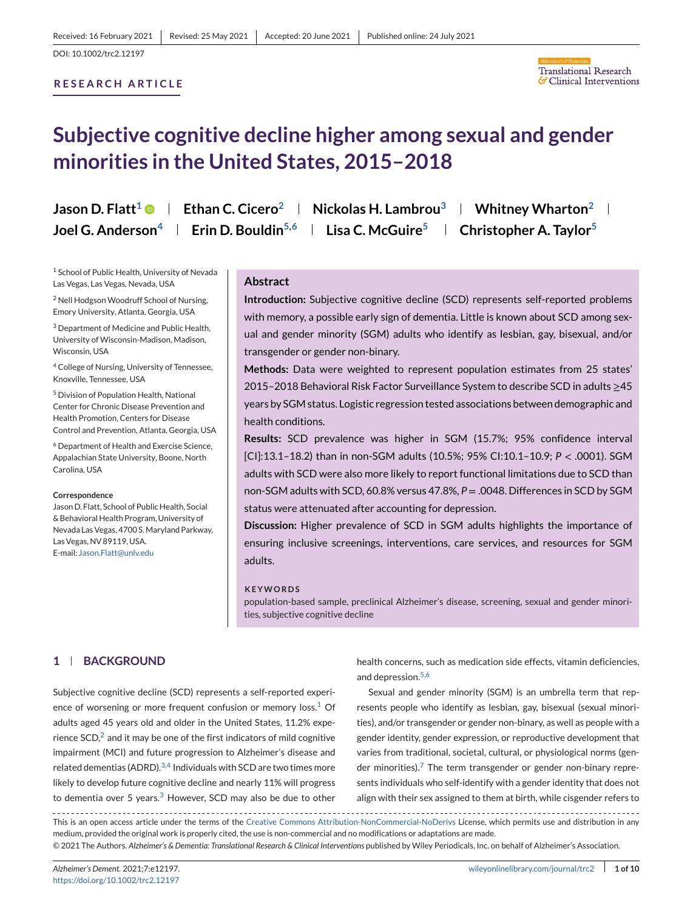# **RESEARCH ARTICLE**



# **Subjective cognitive decline higher among sexual and gender minorities in the United States, 2015–2018**

| Jason D. Flatt <sup>1</sup> © | Ethan C. Cicero <sup>2</sup>                                   | Nickolas H. Lambrou $3$            | Whitney Wharton $2 \parallel$      |
|-------------------------------|----------------------------------------------------------------|------------------------------------|------------------------------------|
|                               | Joel G. Anderson <sup>4</sup>   Erin D. Bouldin <sup>5,6</sup> | <b>Lisa C. McGuire<sup>5</sup></b> | Christopher A. Taylor <sup>5</sup> |

<sup>1</sup> School of Public Health, University of Nevada Las Vegas, Las Vegas, Nevada, USA

<sup>2</sup> Nell Hodgson Woodruff School of Nursing, Emory University, Atlanta, Georgia, USA

<sup>3</sup> Department of Medicine and Public Health, University of Wisconsin-Madison, Madison, Wisconsin, USA

<sup>4</sup> College of Nursing, University of Tennessee, Knoxville, Tennessee, USA

<sup>5</sup> Division of Population Health, National Center for Chronic Disease Prevention and Health Promotion, Centers for Disease Control and Prevention, Atlanta, Georgia, USA

<sup>6</sup> Department of Health and Exercise Science, Appalachian State University, Boone, North Carolina, USA

#### **Correspondence**

Jason D. Flatt, School of Public Health, Social & Behavioral Health Program, University of Nevada Las Vegas, 4700 S.Maryland Parkway, Las Vegas, NV 89119, USA. E-mail: [Jason.Flatt@unlv.edu](mailto:Jason.Flatt@unlv.edu)

## **Abstract**

**Introduction:** Subjective cognitive decline (SCD) represents self-reported problems with memory, a possible early sign of dementia. Little is known about SCD among sexual and gender minority (SGM) adults who identify as lesbian, gay, bisexual, and/or transgender or gender non-binary.

**Methods:** Data were weighted to represent population estimates from 25 states' 2015–2018 Behavioral Risk Factor Surveillance System to describe SCD in adults ≥45 years by SGM status. Logistic regression tested associations between demographic and health conditions.

**Results:** SCD prevalence was higher in SGM (15.7%; 95% confidence interval [CI]:13.1–18.2) than in non-SGM adults (10.5%; 95% CI:10.1–10.9; *P* < .0001). SGM adults with SCD were also more likely to report functional limitations due to SCD than non-SGM adults with SCD, 60.8% versus 47.8%, *P* = .0048. Differences in SCD by SGM status were attenuated after accounting for depression.

**Discussion:** Higher prevalence of SCD in SGM adults highlights the importance of ensuring inclusive screenings, interventions, care services, and resources for SGM adults.

#### **KEYWORDS**

population-based sample, preclinical Alzheimer's disease, screening, sexual and gender minorities, subjective cognitive decline

## **1 BACKGROUND**

Subjective cognitive decline (SCD) represents a self-reported experience of worsening or more frequent confusion or memory  $loss<sup>1</sup>$  $loss<sup>1</sup>$  $loss<sup>1</sup>$  Of adults aged 45 years old and older in the United States, 11.2% experience  $SCD<sub>1</sub><sup>2</sup>$  $SCD<sub>1</sub><sup>2</sup>$  $SCD<sub>1</sub><sup>2</sup>$  and it may be one of the first indicators of mild cognitive impairment (MCI) and future progression to Alzheimer's disease and related dementias (ADRD).  $3,4$  Individuals with SCD are two times more likely to develop future cognitive decline and nearly 11% will progress to dementia over 5 years. $3$  However, SCD may also be due to other

health concerns, such as medication side effects, vitamin deficiencies, and depression.<sup>[5,6](#page-8-0)</sup>

Sexual and gender minority (SGM) is an umbrella term that represents people who identify as lesbian, gay, bisexual (sexual minorities), and/or transgender or gender non-binary, as well as people with a gender identity, gender expression, or reproductive development that varies from traditional, societal, cultural, or physiological norms (gender minorities). $<sup>7</sup>$  $<sup>7</sup>$  $<sup>7</sup>$  The term transgender or gender non-binary repre-</sup> sents individuals who self-identify with a gender identity that does not align with their sex assigned to them at birth, while cisgender refers to

This is an open access article under the terms of the [Creative Commons Attribution-NonCommercial-NoDerivs](http://creativecommons.org/licenses/by-nc-nd/4.0/) License, which permits use and distribution in any medium, provided the original work is properly cited, the use is non-commercial and no modifications or adaptations are made. © 2021 The Authors. *Alzheimer's & Dementia: Translational Research & Clinical Interventions* published by Wiley Periodicals, Inc. on behalf of Alzheimer's Association.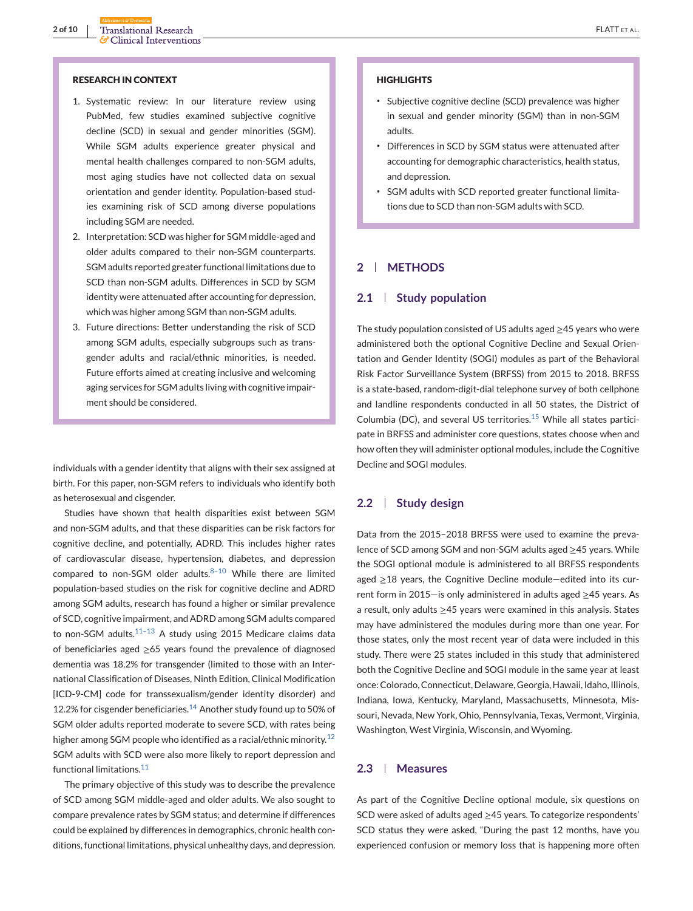#### **RESEARCH IN CONTEXT**

- 1. Systematic review: In our literature review using PubMed, few studies examined subjective cognitive decline (SCD) in sexual and gender minorities (SGM). While SGM adults experience greater physical and mental health challenges compared to non-SGM adults, most aging studies have not collected data on sexual orientation and gender identity. Population-based studies examining risk of SCD among diverse populations including SGM are needed.
- 2. Interpretation: SCD was higher for SGM middle-aged and older adults compared to their non-SGM counterparts. SGM adults reported greater functional limitations due to SCD than non-SGM adults. Differences in SCD by SGM identity were attenuated after accounting for depression, which was higher among SGM than non-SGM adults.
- 3. Future directions: Better understanding the risk of SCD among SGM adults, especially subgroups such as transgender adults and racial/ethnic minorities, is needed. Future efforts aimed at creating inclusive and welcoming aging services for SGM adults living with cognitive impairment should be considered.

individuals with a gender identity that aligns with their sex assigned at birth. For this paper, non-SGM refers to individuals who identify both as heterosexual and cisgender.

Studies have shown that health disparities exist between SGM and non-SGM adults, and that these disparities can be risk factors for cognitive decline, and potentially, ADRD. This includes higher rates of cardiovascular disease, hypertension, diabetes, and depression compared to non-SGM older adults. $8-10$  While there are limited population-based studies on the risk for cognitive decline and ADRD among SGM adults, research has found a higher or similar prevalence of SCD, cognitive impairment, and ADRD among SGM adults compared to non-SGM adults. $11-13$  A study using 2015 Medicare claims data of beneficiaries aged  $\geq 65$  years found the prevalence of diagnosed dementia was 18.2% for transgender (limited to those with an International Classification of Diseases, Ninth Edition, Clinical Modification [ICD-9-CM] code for transsexualism/gender identity disorder) and 12.2% for cisgender beneficiaries. $14$  Another study found up to 50% of SGM older adults reported moderate to severe SCD, with rates being higher among SGM people who identified as a racial/ethnic minority.<sup>[12](#page-8-0)</sup> SGM adults with SCD were also more likely to report depression and functional limitations.<sup>[11](#page-8-0)</sup>

The primary objective of this study was to describe the prevalence of SCD among SGM middle-aged and older adults. We also sought to compare prevalence rates by SGM status; and determine if differences could be explained by differences in demographics, chronic health conditions, functional limitations, physical unhealthy days, and depression.

#### **HIGHLIGHTS**

- ∙ Subjective cognitive decline (SCD) prevalence was higher in sexual and gender minority (SGM) than in non-SGM adults.
- ∙ Differences in SCD by SGM status were attenuated after accounting for demographic characteristics, health status, and depression.
- ∙ SGM adults with SCD reported greater functional limitations due to SCD than non-SGM adults with SCD.

# **2 METHODS**

## **2.1 Study population**

The study population consisted of US adults aged ≥45 years who were administered both the optional Cognitive Decline and Sexual Orientation and Gender Identity (SOGI) modules as part of the Behavioral Risk Factor Surveillance System (BRFSS) from 2015 to 2018. BRFSS is a state-based, random-digit-dial telephone survey of both cellphone and landline respondents conducted in all 50 states, the District of Columbia (DC), and several US territories.<sup>[15](#page-8-0)</sup> While all states participate in BRFSS and administer core questions, states choose when and how often they will administer optional modules, include the Cognitive Decline and SOGI modules.

## **2.2 Study design**

Data from the 2015–2018 BRFSS were used to examine the prevalence of SCD among SGM and non-SGM adults aged ≥45 years. While the SOGI optional module is administered to all BRFSS respondents aged ≥18 years, the Cognitive Decline module—edited into its current form in 2015—is only administered in adults aged ≥45 years. As a result, only adults ≥45 years were examined in this analysis. States may have administered the modules during more than one year. For those states, only the most recent year of data were included in this study. There were 25 states included in this study that administered both the Cognitive Decline and SOGI module in the same year at least once: Colorado, Connecticut, Delaware, Georgia, Hawaii, Idaho, Illinois, Indiana, Iowa, Kentucky, Maryland, Massachusetts, Minnesota, Missouri, Nevada, New York, Ohio, Pennsylvania, Texas, Vermont, Virginia, Washington, West Virginia, Wisconsin, and Wyoming.

## **2.3 Measures**

As part of the Cognitive Decline optional module, six questions on SCD were asked of adults aged ≥45 years. To categorize respondents' SCD status they were asked, "During the past 12 months, have you experienced confusion or memory loss that is happening more often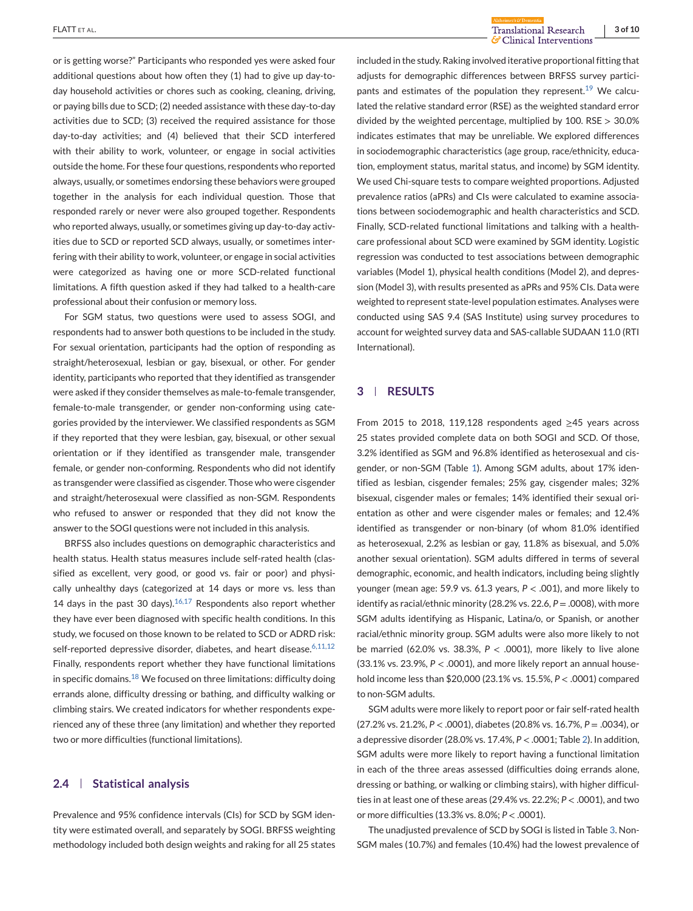**FLATT** ET AL. **3 of 10**<br> **ELATT** ET AL. **3 of 10**<br> **ELATT** ET AL. **3 of 10** 

or is getting worse?" Participants who responded yes were asked four additional questions about how often they (1) had to give up day-today household activities or chores such as cooking, cleaning, driving, or paying bills due to SCD; (2) needed assistance with these day-to-day activities due to SCD; (3) received the required assistance for those day-to-day activities; and (4) believed that their SCD interfered with their ability to work, volunteer, or engage in social activities outside the home. For these four questions, respondents who reported always, usually, or sometimes endorsing these behaviors were grouped together in the analysis for each individual question. Those that responded rarely or never were also grouped together. Respondents who reported always, usually, or sometimes giving up day-to-day activities due to SCD or reported SCD always, usually, or sometimes interfering with their ability to work, volunteer, or engage in social activities were categorized as having one or more SCD-related functional limitations. A fifth question asked if they had talked to a health-care professional about their confusion or memory loss.

For SGM status, two questions were used to assess SOGI, and respondents had to answer both questions to be included in the study. For sexual orientation, participants had the option of responding as straight/heterosexual, lesbian or gay, bisexual, or other. For gender identity, participants who reported that they identified as transgender were asked if they consider themselves as male-to-female transgender, female-to-male transgender, or gender non-conforming using categories provided by the interviewer. We classified respondents as SGM if they reported that they were lesbian, gay, bisexual, or other sexual orientation or if they identified as transgender male, transgender female, or gender non-conforming. Respondents who did not identify as transgender were classified as cisgender. Those who were cisgender and straight/heterosexual were classified as non-SGM. Respondents who refused to answer or responded that they did not know the answer to the SOGI questions were not included in this analysis.

BRFSS also includes questions on demographic characteristics and health status. Health status measures include self-rated health (classified as excellent, very good, or good vs. fair or poor) and physically unhealthy days (categorized at 14 days or more vs. less than 14 days in the past 30 days). $16,17$  Respondents also report whether they have ever been diagnosed with specific health conditions. In this study, we focused on those known to be related to SCD or ADRD risk: self-reported depressive disorder, diabetes, and heart disease.<sup>[6,11,12](#page-8-0)</sup> Finally, respondents report whether they have functional limitations in specific domains.<sup>[18](#page-8-0)</sup> We focused on three limitations: difficulty doing errands alone, difficulty dressing or bathing, and difficulty walking or climbing stairs. We created indicators for whether respondents experienced any of these three (any limitation) and whether they reported two or more difficulties (functional limitations).

# **2.4 Statistical analysis**

Prevalence and 95% confidence intervals (CIs) for SCD by SGM identity were estimated overall, and separately by SOGI. BRFSS weighting methodology included both design weights and raking for all 25 states

included in the study. Raking involved iterative proportional fitting that adjusts for demographic differences between BRFSS survey partici-pants and estimates of the population they represent.<sup>[19](#page-8-0)</sup> We calculated the relative standard error (RSE) as the weighted standard error divided by the weighted percentage, multiplied by 100. RSE  $> 30.0\%$ indicates estimates that may be unreliable. We explored differences in sociodemographic characteristics (age group, race/ethnicity, education, employment status, marital status, and income) by SGM identity. We used Chi-square tests to compare weighted proportions. Adjusted prevalence ratios (aPRs) and CIs were calculated to examine associations between sociodemographic and health characteristics and SCD. Finally, SCD-related functional limitations and talking with a healthcare professional about SCD were examined by SGM identity. Logistic regression was conducted to test associations between demographic variables (Model 1), physical health conditions (Model 2), and depression (Model 3), with results presented as aPRs and 95% CIs. Data were weighted to represent state-level population estimates. Analyses were conducted using SAS 9.4 (SAS Institute) using survey procedures to account for weighted survey data and SAS-callable SUDAAN 11.0 (RTI International).

# **3 RESULTS**

From 2015 to 2018, 119,128 respondents aged ≥45 years across 25 states provided complete data on both SOGI and SCD. Of those, 3.2% identified as SGM and 96.8% identified as heterosexual and cisgender, or non-SGM (Table [1\)](#page-3-0). Among SGM adults, about 17% identified as lesbian, cisgender females; 25% gay, cisgender males; 32% bisexual, cisgender males or females; 14% identified their sexual orientation as other and were cisgender males or females; and 12.4% identified as transgender or non-binary (of whom 81.0% identified as heterosexual, 2.2% as lesbian or gay, 11.8% as bisexual, and 5.0% another sexual orientation). SGM adults differed in terms of several demographic, economic, and health indicators, including being slightly younger (mean age: 59.9 vs. 61.3 years, *P* < .001), and more likely to identify as racial/ethnic minority (28.2% vs. 22.6, *P* = .0008), with more SGM adults identifying as Hispanic, Latina/o, or Spanish, or another racial/ethnic minority group. SGM adults were also more likely to not be married (62.0% vs. 38.3%, *P* < .0001), more likely to live alone (33.1% vs. 23.9%, *P* < .0001), and more likely report an annual household income less than \$20,000 (23.1% vs. 15.5%, *P* < .0001) compared to non-SGM adults.

SGM adults were more likely to report poor or fair self-rated health (27.2% vs. 21.2%, *P* < .0001), diabetes (20.8% vs. 16.7%, *P* = .0034), or a depressive disorder (28.0% vs. 17.4%, *P* < .0001; Table [2\)](#page-4-0). In addition, SGM adults were more likely to report having a functional limitation in each of the three areas assessed (difficulties doing errands alone, dressing or bathing, or walking or climbing stairs), with higher difficulties in at least one of these areas (29.4% vs. 22.2%; *P* < .0001), and two or more difficulties (13.3% vs. 8.0%; *P* < .0001).

The unadjusted prevalence of SCD by SOGI is listed in Table [3.](#page-5-0) Non-SGM males (10.7%) and females (10.4%) had the lowest prevalence of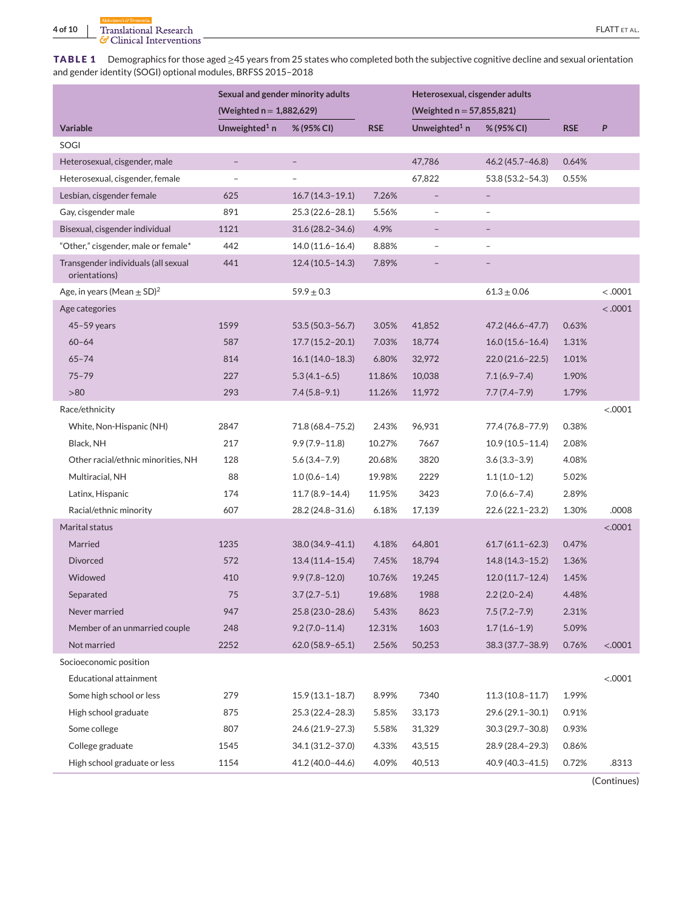<span id="page-3-0"></span>**TABLE 1** Demographics for those aged ≥45 years from 25 states who completed both the subjective cognitive decline and sexual orientation and gender identity (SOGI) optional modules, BRFSS 2015–2018

|                                                      | Sexual and gender minority adults |                     |            | Heterosexual, cisgender adults |                          |            |         |
|------------------------------------------------------|-----------------------------------|---------------------|------------|--------------------------------|--------------------------|------------|---------|
|                                                      | (Weighted $n = 1,882,629$ )       |                     |            | (Weighted $n = 57,855,821$ )   |                          |            |         |
| Variable                                             | Unweighted <sup>1</sup> $n$       | % (95% CI)          | <b>RSE</b> | Unweighted <sup>1</sup> n      | % (95% CI)               | <b>RSE</b> | P       |
| SOGI                                                 |                                   |                     |            |                                |                          |            |         |
| Heterosexual, cisgender, male                        | $\overline{\phantom{0}}$          | $\qquad \qquad -$   |            | 47,786                         | 46.2 (45.7 - 46.8)       | 0.64%      |         |
| Heterosexual, cisgender, female                      | $\overline{a}$                    |                     |            | 67,822                         | 53.8 (53.2-54.3)         | 0.55%      |         |
| Lesbian, cisgender female                            | 625                               | $16.7(14.3-19.1)$   | 7.26%      | $\overline{\phantom{a}}$       | $\overline{\phantom{0}}$ |            |         |
| Gay, cisgender male                                  | 891                               | $25.3(22.6 - 28.1)$ | 5.56%      | $\overline{\phantom{a}}$       | $\overline{a}$           |            |         |
| Bisexual, cisgender individual                       | 1121                              | $31.6(28.2 - 34.6)$ | 4.9%       | $\overline{\phantom{a}}$       | -                        |            |         |
| "Other," cisgender, male or female*                  | 442                               | $14.0(11.6 - 16.4)$ | 8.88%      | $\overline{\phantom{a}}$       | $\overline{a}$           |            |         |
| Transgender individuals (all sexual<br>orientations) | 441                               | $12.4(10.5 - 14.3)$ | 7.89%      |                                |                          |            |         |
| Age, in years (Mean $\pm$ SD) <sup>2</sup>           |                                   | $59.9 \pm 0.3$      |            |                                | $61.3 \pm 0.06$          |            | < .0001 |
| Age categories                                       |                                   |                     |            |                                |                          |            | < .0001 |
| $45-59$ years                                        | 1599                              | $53.5(50.3 - 56.7)$ | 3.05%      | 41,852                         | 47.2 (46.6–47.7)         | 0.63%      |         |
| $60 - 64$                                            | 587                               | $17.7(15.2 - 20.1)$ | 7.03%      | 18,774                         | $16.0(15.6 - 16.4)$      | 1.31%      |         |
| $65 - 74$                                            | 814                               | $16.1(14.0-18.3)$   | 6.80%      | 32,972                         | $22.0(21.6 - 22.5)$      | 1.01%      |         |
| $75 - 79$                                            | 227                               | $5.3(4.1-6.5)$      | 11.86%     | 10,038                         | $7.1(6.9 - 7.4)$         | 1.90%      |         |
| >80                                                  | 293                               | $7.4(5.8-9.1)$      | 11.26%     | 11,972                         | $7.7(7.4 - 7.9)$         | 1.79%      |         |
| Race/ethnicity                                       |                                   |                     |            |                                |                          |            | < .0001 |
| White, Non-Hispanic (NH)                             | 2847                              | 71.8 (68.4 - 75.2)  | 2.43%      | 96,931                         | 77.4 (76.8–77.9)         | 0.38%      |         |
| Black, NH                                            | 217                               | $9.9(7.9 - 11.8)$   | 10.27%     | 7667                           | $10.9(10.5 - 11.4)$      | 2.08%      |         |
| Other racial/ethnic minorities, NH                   | 128                               | $5.6(3.4 - 7.9)$    | 20.68%     | 3820                           | $3.6(3.3-3.9)$           | 4.08%      |         |
| Multiracial, NH                                      | 88                                | $1.0(0.6 - 1.4)$    | 19.98%     | 2229                           | $1.1(1.0-1.2)$           | 5.02%      |         |
| Latinx, Hispanic                                     | 174                               | $11.7(8.9 - 14.4)$  | 11.95%     | 3423                           | $7.0(6.6 - 7.4)$         | 2.89%      |         |
| Racial/ethnic minority                               | 607                               | 28.2 (24.8–31.6)    | 6.18%      | 17,139                         | 22.6 (22.1–23.2)         | 1.30%      | .0008   |
| Marital status                                       |                                   |                     |            |                                |                          |            | < .0001 |
| Married                                              | 1235                              | $38.0(34.9 - 41.1)$ | 4.18%      | 64,801                         | $61.7(61.1 - 62.3)$      | 0.47%      |         |
| <b>Divorced</b>                                      | 572                               | $13.4(11.4 - 15.4)$ | 7.45%      | 18,794                         | $14.8(14.3 - 15.2)$      | 1.36%      |         |
| Widowed                                              | 410                               | $9.9(7.8 - 12.0)$   | 10.76%     | 19,245                         | $12.0(11.7 - 12.4)$      | 1.45%      |         |
| Separated                                            | 75                                | $3.7(2.7-5.1)$      | 19.68%     | 1988                           | $2.2(2.0-2.4)$           | 4.48%      |         |
| Never married                                        | 947                               | 25.8 (23.0-28.6)    | 5.43%      | 8623                           | $7.5(7.2 - 7.9)$         | 2.31%      |         |
| Member of an unmarried couple                        | 248                               | $9.2(7.0-11.4)$     | 12.31%     | 1603                           | $1.7(1.6-1.9)$           | 5.09%      |         |
| Not married                                          | 2252                              | $62.0(58.9 - 65.1)$ | 2.56%      | 50,253                         | 38.3 (37.7-38.9)         | 0.76%      | < .0001 |
| Socioeconomic position                               |                                   |                     |            |                                |                          |            |         |
| Educational attainment                               |                                   |                     |            |                                |                          |            | < .0001 |
| Some high school or less                             | 279                               | $15.9(13.1 - 18.7)$ | 8.99%      | 7340                           | $11.3(10.8 - 11.7)$      | 1.99%      |         |
| High school graduate                                 | 875                               | 25.3 (22.4-28.3)    | 5.85%      | 33,173                         | 29.6 (29.1-30.1)         | 0.91%      |         |
| Some college                                         | 807                               | 24.6 (21.9 - 27.3)  | 5.58%      | 31,329                         | 30.3 (29.7-30.8)         | 0.93%      |         |
| College graduate                                     | 1545                              | 34.1 (31.2-37.0)    | 4.33%      | 43,515                         | 28.9 (28.4-29.3)         | 0.86%      |         |
| High school graduate or less                         | 1154                              | 41.2 (40.0-44.6)    | 4.09%      | 40,513                         | 40.9 (40.3-41.5)         | 0.72%      | .8313   |

(Continues)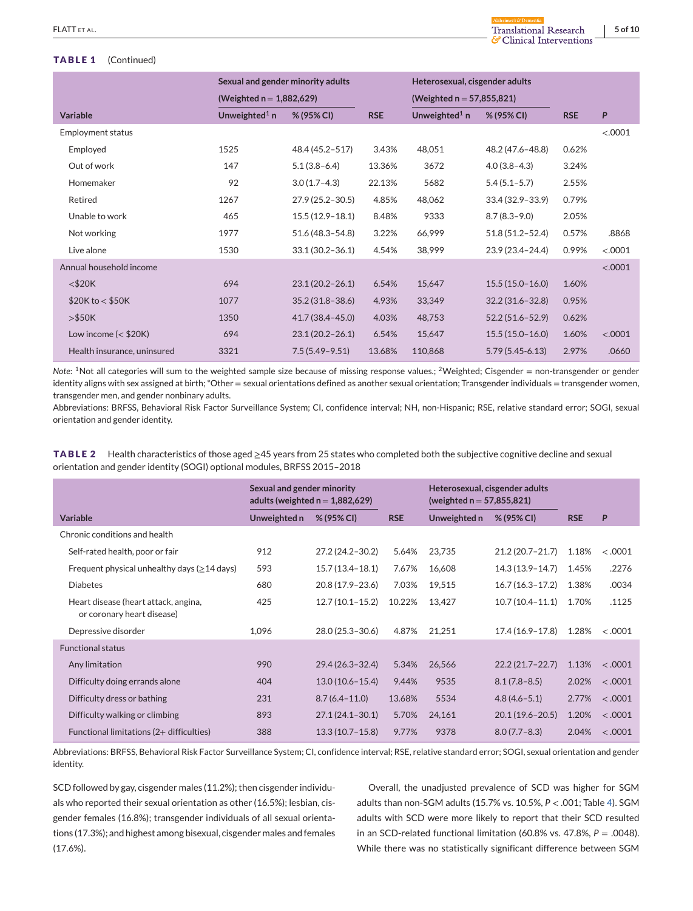### <span id="page-4-0"></span>**TABLE 1** (Continued)

|  | ร <b>ี</b> Clinical Interventio |  |
|--|---------------------------------|--|

|                             | Sexual and gender minority adults |                             |            | Heterosexual, cisgender adults |                     |            |         |
|-----------------------------|-----------------------------------|-----------------------------|------------|--------------------------------|---------------------|------------|---------|
|                             |                                   | (Weighted $n = 1,882,629$ ) |            | (Weighted $n = 57,855,821$ )   |                     |            |         |
| <b>Variable</b>             | Unweighted <sup>1</sup> n         | % (95% CI)                  | <b>RSE</b> | Unweighted <sup>1</sup> n      | % (95% CI)          | <b>RSE</b> | P       |
| <b>Employment status</b>    |                                   |                             |            |                                |                     |            | < .0001 |
| Employed                    | 1525                              | 48.4 (45.2-517)             | 3.43%      | 48,051                         | 48.2 (47.6-48.8)    | 0.62%      |         |
| Out of work                 | 147                               | $5.1(3.8-6.4)$              | 13.36%     | 3672                           | $4.0(3.8-4.3)$      | 3.24%      |         |
| Homemaker                   | 92                                | $3.0(1.7-4.3)$              | 22.13%     | 5682                           | $5.4(5.1-5.7)$      | 2.55%      |         |
| Retired                     | 1267                              | $27.9(25.2 - 30.5)$         | 4.85%      | 48,062                         | 33.4 (32.9-33.9)    | 0.79%      |         |
| Unable to work              | 465                               | $15.5(12.9 - 18.1)$         | 8.48%      | 9333                           | $8.7(8.3 - 9.0)$    | 2.05%      |         |
| Not working                 | 1977                              | 51.6 (48.3-54.8)            | 3.22%      | 66,999                         | $51.8(51.2 - 52.4)$ | 0.57%      | .8868   |
| Live alone                  | 1530                              | $33.1(30.2 - 36.1)$         | 4.54%      | 38,999                         | 23.9 (23.4-24.4)    | 0.99%      | < .0001 |
| Annual household income     |                                   |                             |            |                                |                     |            | < .0001 |
| $<$ \$20 $K$                | 694                               | $23.1(20.2 - 26.1)$         | 6.54%      | 15,647                         | $15.5(15.0 - 16.0)$ | 1.60%      |         |
| \$20K to < \$50K            | 1077                              | $35.2(31.8 - 38.6)$         | 4.93%      | 33,349                         | $32.2(31.6 - 32.8)$ | 0.95%      |         |
| $>\frac{6}{50}$             | 1350                              | 41.7 (38.4 - 45.0)          | 4.03%      | 48,753                         | $52.2(51.6 - 52.9)$ | 0.62%      |         |
| Low income $(<$ \$20K)      | 694                               | $23.1(20.2 - 26.1)$         | 6.54%      | 15,647                         | $15.5(15.0 - 16.0)$ | 1.60%      | < .0001 |
| Health insurance, uninsured | 3321                              | $7.5(5.49 - 9.51)$          | 13.68%     | 110,868                        | $5.79(5.45 - 6.13)$ | 2.97%      | .0660   |

*Note*: <sup>1</sup>Not all categories will sum to the weighted sample size because of missing response values.; <sup>2</sup>Weighted; Cisgender = non-transgender or gender identity aligns with sex assigned at birth; \*Other = sexual orientations defined as another sexual orientation; Transgender individuals = transgender women, transgender men, and gender nonbinary adults.

Abbreviations: BRFSS, Behavioral Risk Factor Surveillance System; CI, confidence interval; NH, non-Hispanic; RSE, relative standard error; SOGI, sexual orientation and gender identity.

**TABLE 2** Health characteristics of those aged ≥45 years from 25 states who completed both the subjective cognitive decline and sexual orientation and gender identity (SOGI) optional modules, BRFSS 2015–2018

|                                                                    | Sexual and gender minority<br>adults (weighted $n = 1,882,629$ ) |                     | Heterosexual, cisgender adults<br>(weighted $n = 57,855,821$ ) |              |                     |            |         |
|--------------------------------------------------------------------|------------------------------------------------------------------|---------------------|----------------------------------------------------------------|--------------|---------------------|------------|---------|
| <b>Variable</b>                                                    | Unweighted n                                                     | % (95% CI)          | <b>RSE</b>                                                     | Unweighted n | % (95% CI)          | <b>RSE</b> | P       |
| Chronic conditions and health                                      |                                                                  |                     |                                                                |              |                     |            |         |
| Self-rated health, poor or fair                                    | 912                                                              | 27.2 (24.2-30.2)    | 5.64%                                                          | 23,735       | $21.2(20.7 - 21.7)$ | 1.18%      | < .0001 |
| Frequent physical unhealthy days ( $\geq$ 14 days)                 | 593                                                              | $15.7(13.4 - 18.1)$ | 7.67%                                                          | 16,608       | $14.3(13.9 - 14.7)$ | 1.45%      | .2276   |
| <b>Diabetes</b>                                                    | 680                                                              | 20.8 (17.9 - 23.6)  | 7.03%                                                          | 19,515       | $16.7(16.3 - 17.2)$ | 1.38%      | .0034   |
| Heart disease (heart attack, angina,<br>or coronary heart disease) | 425                                                              | $12.7(10.1 - 15.2)$ | 10.22%                                                         | 13,427       | $10.7(10.4 - 11.1)$ | 1.70%      | .1125   |
| Depressive disorder                                                | 1,096                                                            | 28.0 (25.3-30.6)    | 4.87%                                                          | 21,251       | $17.4(16.9 - 17.8)$ | 1.28%      | < .0001 |
| <b>Functional status</b>                                           |                                                                  |                     |                                                                |              |                     |            |         |
| Any limitation                                                     | 990                                                              | $29.4(26.3 - 32.4)$ | 5.34%                                                          | 26,566       | $22.2(21.7 - 22.7)$ | 1.13%      | < .0001 |
| Difficulty doing errands alone                                     | 404                                                              | $13.0(10.6 - 15.4)$ | 9.44%                                                          | 9535         | $8.1(7.8-8.5)$      | 2.02%      | < .0001 |
| Difficulty dress or bathing                                        | 231                                                              | $8.7(6.4 - 11.0)$   | 13.68%                                                         | 5534         | $4.8(4.6 - 5.1)$    | 2.77%      | < .0001 |
| Difficulty walking or climbing                                     | 893                                                              | $27.1(24.1 - 30.1)$ | 5.70%                                                          | 24,161       | $20.1(19.6 - 20.5)$ | 1.20%      | < .0001 |
| Functional limitations (2+ difficulties)                           | 388                                                              | $13.3(10.7 - 15.8)$ | 9.77%                                                          | 9378         | $8.0(7.7 - 8.3)$    | 2.04%      | < .0001 |

Abbreviations: BRFSS, Behavioral Risk Factor Surveillance System; CI, confidence interval; RSE, relative standard error; SOGI, sexual orientation and gender identity.

SCD followed by gay, cisgender males (11.2%); then cisgender individuals who reported their sexual orientation as other (16.5%); lesbian, cisgender females (16.8%); transgender individuals of all sexual orientations (17.3%); and highest among bisexual, cisgender males and females (17.6%).

Overall, the unadjusted prevalence of SCD was higher for SGM adults than non-SGM adults (15.7% vs. 10.5%, *P* < .001; Table [4\)](#page-5-0). SGM adults with SCD were more likely to report that their SCD resulted in an SCD-related functional limitation (60.8% vs. 47.8%, *P* = .0048). While there was no statistically significant difference between SGM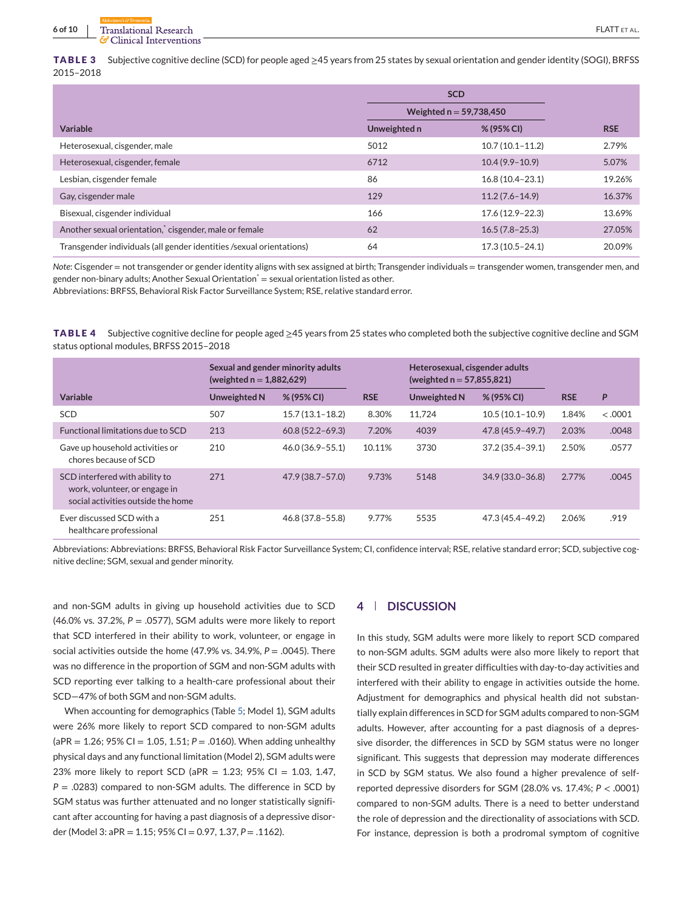<span id="page-5-0"></span>**TABLE 3** Subjective cognitive decline (SCD) for people aged ≥45 years from 25 states by sexual orientation and gender identity (SOGI), BRFSS 2015–2018

|                                                                      |              | <b>SCD</b>                |            |
|----------------------------------------------------------------------|--------------|---------------------------|------------|
|                                                                      |              | Weighted $n = 59,738,450$ |            |
| Variable                                                             | Unweighted n | % (95% CI)                | <b>RSE</b> |
| Heterosexual, cisgender, male                                        | 5012         | $10.7(10.1 - 11.2)$       | 2.79%      |
| Heterosexual, cisgender, female                                      | 6712         | $10.4(9.9 - 10.9)$        | 5.07%      |
| Lesbian, cisgender female                                            | 86           | $16.8(10.4 - 23.1)$       | 19.26%     |
| Gay, cisgender male                                                  | 129          | $11.2(7.6 - 14.9)$        | 16.37%     |
| Bisexual, cisgender individual                                       | 166          | $17.6(12.9 - 22.3)$       | 13.69%     |
| Another sexual orientation, cisgender, male or female                | 62           | $16.5(7.8-25.3)$          | 27.05%     |
| Transgender individuals (all gender identities /sexual orientations) | 64           | $17.3(10.5 - 24.1)$       | 20.09%     |

*Note*: Cisgender = not transgender or gender identity aligns with sex assigned at birth; Transgender individuals = transgender women, transgender men, and gender non-binary adults; Another Sexual Orientation<sup>\*</sup> = sexual orientation listed as other.

Abbreviations: BRFSS, Behavioral Risk Factor Surveillance System; RSE, relative standard error.

**TABLE 4** Subjective cognitive decline for people aged ≥45 years from 25 states who completed both the subjective cognitive decline and SGM status optional modules, BRFSS 2015–2018

|                                                                                                       | Sexual and gender minority adults<br>(weighted $n = 1,882,629$ ) |                     |            | Heterosexual, cisgender adults<br>(weighted $n = 57,855,821$ ) |                     |            |         |
|-------------------------------------------------------------------------------------------------------|------------------------------------------------------------------|---------------------|------------|----------------------------------------------------------------|---------------------|------------|---------|
| Variable                                                                                              | Unweighted N                                                     | % (95% CI)          | <b>RSE</b> | Unweighted N                                                   | % (95% CI)          | <b>RSE</b> | P       |
| <b>SCD</b>                                                                                            | 507                                                              | $15.7(13.1 - 18.2)$ | 8.30%      | 11.724                                                         | $10.5(10.1-10.9)$   | 1.84%      | < .0001 |
| Functional limitations due to SCD                                                                     | 213                                                              | $60.8(52.2 - 69.3)$ | 7.20%      | 4039                                                           | 47.8 (45.9-49.7)    | 2.03%      | .0048   |
| Gave up household activities or<br>chores because of SCD                                              | 210                                                              | $46.0(36.9 - 55.1)$ | 10.11%     | 3730                                                           | $37.2(35.4 - 39.1)$ | 2.50%      | .0577   |
| SCD interfered with ability to<br>work, volunteer, or engage in<br>social activities outside the home | 271                                                              | $47.9(38.7 - 57.0)$ | 9.73%      | 5148                                                           | $34.9(33.0 - 36.8)$ | 2.77%      | .0045   |
| Ever discussed SCD with a<br>healthcare professional                                                  | 251                                                              | 46.8 (37.8 - 55.8)  | 9.77%      | 5535                                                           | 47.3 (45.4-49.2)    | 2.06%      | .919    |

Abbreviations: Abbreviations: BRFSS, Behavioral Risk Factor Surveillance System; CI, confidence interval; RSE, relative standard error; SCD, subjective cognitive decline; SGM, sexual and gender minority.

and non-SGM adults in giving up household activities due to SCD  $(46.0\% \text{ vs. } 37.2\%, P = .0577)$ , SGM adults were more likely to report that SCD interfered in their ability to work, volunteer, or engage in social activities outside the home (47.9% vs. 34.9%, *P* = .0045). There was no difference in the proportion of SGM and non-SGM adults with SCD reporting ever talking to a health-care professional about their SCD—47% of both SGM and non-SGM adults.

When accounting for demographics (Table [5;](#page-6-0) Model 1), SGM adults were 26% more likely to report SCD compared to non-SGM adults (aPR = 1.26; 95% CI = 1.05, 1.51; *P* = .0160). When adding unhealthy physical days and any functional limitation (Model 2), SGM adults were 23% more likely to report SCD (aPR = 1.23; 95% CI = 1.03, 1.47, *P* = .0283) compared to non-SGM adults. The difference in SCD by SGM status was further attenuated and no longer statistically significant after accounting for having a past diagnosis of a depressive disorder (Model 3: aPR = 1.15; 95% CI = 0.97, 1.37, *P* = .1162).

#### **4 DISCUSSION**

In this study, SGM adults were more likely to report SCD compared to non-SGM adults. SGM adults were also more likely to report that their SCD resulted in greater difficulties with day-to-day activities and interfered with their ability to engage in activities outside the home. Adjustment for demographics and physical health did not substantially explain differences in SCD for SGM adults compared to non-SGM adults. However, after accounting for a past diagnosis of a depressive disorder, the differences in SCD by SGM status were no longer significant. This suggests that depression may moderate differences in SCD by SGM status. We also found a higher prevalence of selfreported depressive disorders for SGM (28.0% vs. 17.4%; *P* < .0001) compared to non-SGM adults. There is a need to better understand the role of depression and the directionality of associations with SCD. For instance, depression is both a prodromal symptom of cognitive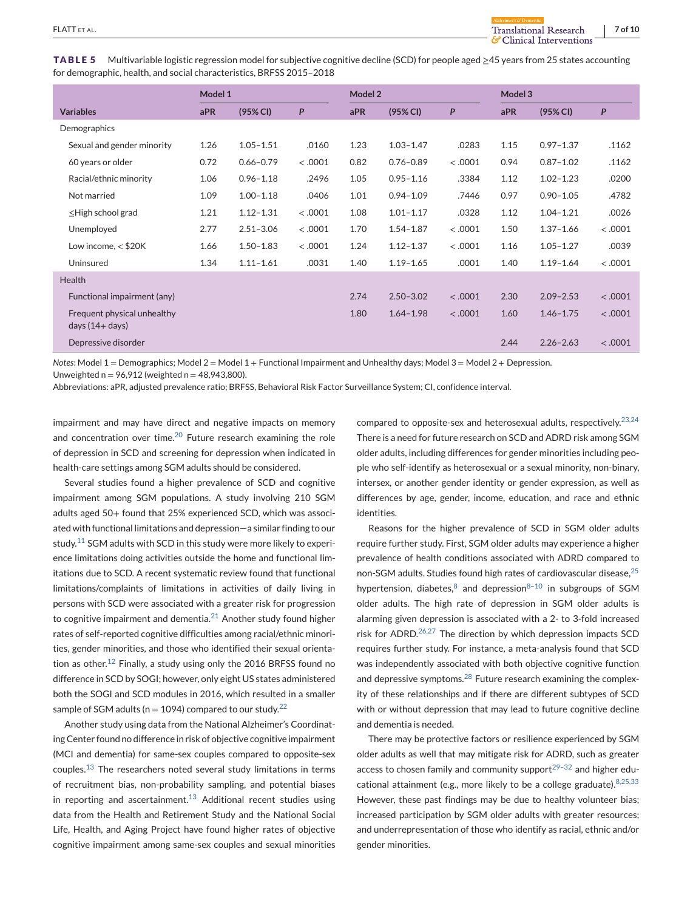<span id="page-6-0"></span>**TABLE 5** Multivariable logistic regression model for subjective cognitive decline (SCD) for people aged ≥45 years from 25 states accounting for demographic, health, and social characteristics, BRFSS 2015–2018

|                                                   | Model 1 |               |         |      | Model 2       |         |      | Model 3       |         |  |
|---------------------------------------------------|---------|---------------|---------|------|---------------|---------|------|---------------|---------|--|
| <b>Variables</b>                                  | aPR     | (95% CI)      | P       | aPR  | (95% CI)      | P       | aPR  | (95% CI)      | P       |  |
| Demographics                                      |         |               |         |      |               |         |      |               |         |  |
| Sexual and gender minority                        | 1.26    | $1.05 - 1.51$ | .0160   | 1.23 | $1.03 - 1.47$ | .0283   | 1.15 | $0.97 - 1.37$ | .1162   |  |
| 60 years or older                                 | 0.72    | $0.66 - 0.79$ | < .0001 | 0.82 | $0.76 - 0.89$ | < .0001 | 0.94 | $0.87 - 1.02$ | .1162   |  |
| Racial/ethnic minority                            | 1.06    | $0.96 - 1.18$ | .2496   | 1.05 | $0.95 - 1.16$ | .3384   | 1.12 | $1.02 - 1.23$ | .0200   |  |
| Not married                                       | 1.09    | $1.00 - 1.18$ | .0406   | 1.01 | $0.94 - 1.09$ | .7446   | 0.97 | $0.90 - 1.05$ | .4782   |  |
| $\leq$ High school grad                           | 1.21    | $1.12 - 1.31$ | < .0001 | 1.08 | $1.01 - 1.17$ | .0328   | 1.12 | $1.04 - 1.21$ | .0026   |  |
| Unemployed                                        | 2.77    | $2.51 - 3.06$ | < .0001 | 1.70 | $1.54 - 1.87$ | < .0001 | 1.50 | $1.37 - 1.66$ | < .0001 |  |
| Low income, $<$ \$20K                             | 1.66    | $1.50 - 1.83$ | < .0001 | 1.24 | $1.12 - 1.37$ | < .0001 | 1.16 | $1.05 - 1.27$ | .0039   |  |
| Uninsured                                         | 1.34    | $1.11 - 1.61$ | .0031   | 1.40 | $1.19 - 1.65$ | .0001   | 1.40 | $1.19 - 1.64$ | < .0001 |  |
| Health                                            |         |               |         |      |               |         |      |               |         |  |
| Functional impairment (any)                       |         |               |         | 2.74 | $2.50 - 3.02$ | < .0001 | 2.30 | $2.09 - 2.53$ | < .0001 |  |
| Frequent physical unhealthy<br>days $(14 + days)$ |         |               |         | 1.80 | $1.64 - 1.98$ | < .0001 | 1.60 | $1.46 - 1.75$ | < .0001 |  |
| Depressive disorder                               |         |               |         |      |               |         | 2.44 | $2.26 - 2.63$ | < .0001 |  |

*Notes*: Model 1 = Demographics; Model 2 = Model 1 + Functional Impairment and Unhealthy days; Model 3 = Model 2 + Depression. Unweighted  $n = 96,912$  (weighted  $n = 48,943,800$ ).

Abbreviations: aPR, adjusted prevalence ratio; BRFSS, Behavioral Risk Factor Surveillance System; CI, confidence interval.

impairment and may have direct and negative impacts on memory and concentration over time. $20$  Future research examining the role of depression in SCD and screening for depression when indicated in health-care settings among SGM adults should be considered.

Several studies found a higher prevalence of SCD and cognitive impairment among SGM populations. A study involving 210 SGM adults aged 50+ found that 25% experienced SCD, which was associated with functional limitations and depression—a similar finding to our study.<sup>[11](#page-8-0)</sup> SGM adults with SCD in this study were more likely to experience limitations doing activities outside the home and functional limitations due to SCD. A recent systematic review found that functional limitations/complaints of limitations in activities of daily living in persons with SCD were associated with a greater risk for progression to cognitive impairment and dementia. $^{21}$  $^{21}$  $^{21}$  Another study found higher rates of self-reported cognitive difficulties among racial/ethnic minorities, gender minorities, and those who identified their sexual orienta-tion as other.<sup>[12](#page-8-0)</sup> Finally, a study using only the 2016 BRFSS found no difference in SCD by SOGI; however, only eight US states administered both the SOGI and SCD modules in 2016, which resulted in a smaller sample of SGM adults ( $n = 1094$ ) compared to our study.<sup>[22](#page-8-0)</sup>

Another study using data from the National Alzheimer's Coordinating Center found no difference in risk of objective cognitive impairment (MCI and dementia) for same-sex couples compared to opposite-sex couples.[13](#page-8-0) The researchers noted several study limitations in terms of recruitment bias, non-probability sampling, and potential biases in reporting and ascertainment.<sup>[13](#page-8-0)</sup> Additional recent studies using data from the Health and Retirement Study and the National Social Life, Health, and Aging Project have found higher rates of objective cognitive impairment among same-sex couples and sexual minorities

compared to opposite-sex and heterosexual adults, respectively.  $23,24$ There is a need for future research on SCD and ADRD risk among SGM older adults, including differences for gender minorities including people who self-identify as heterosexual or a sexual minority, non-binary, intersex, or another gender identity or gender expression, as well as differences by age, gender, income, education, and race and ethnic identities.

Reasons for the higher prevalence of SCD in SGM older adults require further study. First, SGM older adults may experience a higher prevalence of health conditions associated with ADRD compared to non-SGM adults. Studies found high rates of cardiovascular disease,[25](#page-8-0) hypertension, diabetes,  $8$  and depression $8-10$  in subgroups of SGM older adults. The high rate of depression in SGM older adults is alarming given depression is associated with a 2- to 3-fold increased risk for ADRD. $26,27$  The direction by which depression impacts SCD requires further study. For instance, a meta-analysis found that SCD was independently associated with both objective cognitive function and depressive symptoms.<sup>[28](#page-8-0)</sup> Future research examining the complexity of these relationships and if there are different subtypes of SCD with or without depression that may lead to future cognitive decline and dementia is needed.

There may be protective factors or resilience experienced by SGM older adults as well that may mitigate risk for ADRD, such as greater access to chosen family and community support $29-32$  and higher educational attainment (e.g., more likely to be a college graduate).  $8,25,33$ However, these past findings may be due to healthy volunteer bias; increased participation by SGM older adults with greater resources; and underrepresentation of those who identify as racial, ethnic and/or gender minorities.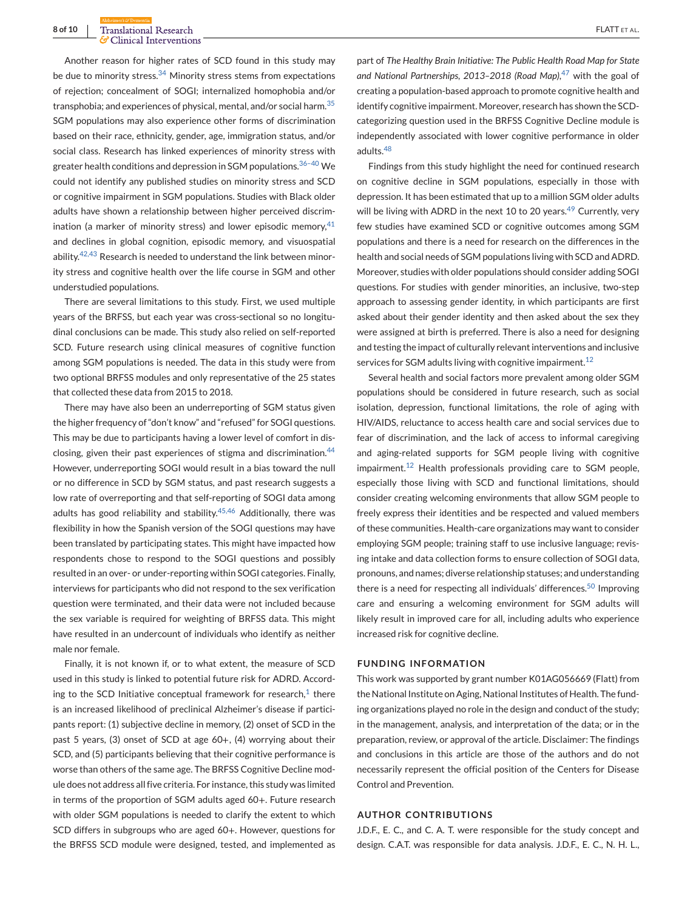Another reason for higher rates of SCD found in this study may be due to minority stress. $34$  Minority stress stems from expectations of rejection; concealment of SOGI; internalized homophobia and/or transphobia; and experiences of physical, mental, and/or social harm.<sup>[35](#page-9-0)</sup> SGM populations may also experience other forms of discrimination based on their race, ethnicity, gender, age, immigration status, and/or social class. Research has linked experiences of minority stress with greater health conditions and depression in SGM populations.[36–40](#page-9-0) We could not identify any published studies on minority stress and SCD or cognitive impairment in SGM populations. Studies with Black older adults have shown a relationship between higher perceived discrimination (a marker of minority stress) and lower episodic memory,  $41$ and declines in global cognition, episodic memory, and visuospatial ability.<sup>[42,43](#page-9-0)</sup> Research is needed to understand the link between minority stress and cognitive health over the life course in SGM and other understudied populations.

There are several limitations to this study. First, we used multiple years of the BRFSS, but each year was cross-sectional so no longitudinal conclusions can be made. This study also relied on self-reported SCD. Future research using clinical measures of cognitive function among SGM populations is needed. The data in this study were from two optional BRFSS modules and only representative of the 25 states that collected these data from 2015 to 2018.

There may have also been an underreporting of SGM status given the higher frequency of "don't know" and "refused" for SOGI questions. This may be due to participants having a lower level of comfort in dis-closing, given their past experiences of stigma and discrimination.<sup>[44](#page-9-0)</sup> However, underreporting SOGI would result in a bias toward the null or no difference in SCD by SGM status, and past research suggests a low rate of overreporting and that self-reporting of SOGI data among adults has good reliability and stability. $45,46$  Additionally, there was flexibility in how the Spanish version of the SOGI questions may have been translated by participating states. This might have impacted how respondents chose to respond to the SOGI questions and possibly resulted in an over- or under-reporting within SOGI categories. Finally, interviews for participants who did not respond to the sex verification question were terminated, and their data were not included because the sex variable is required for weighting of BRFSS data. This might have resulted in an undercount of individuals who identify as neither male nor female.

Finally, it is not known if, or to what extent, the measure of SCD used in this study is linked to potential future risk for ADRD. According to the SCD Initiative conceptual framework for research, $1$  there is an increased likelihood of preclinical Alzheimer's disease if participants report: (1) subjective decline in memory, (2) onset of SCD in the past 5 years, (3) onset of SCD at age 60+, (4) worrying about their SCD, and (5) participants believing that their cognitive performance is worse than others of the same age. The BRFSS Cognitive Decline module does not address all five criteria. For instance, this study was limited in terms of the proportion of SGM adults aged 60+. Future research with older SGM populations is needed to clarify the extent to which SCD differs in subgroups who are aged 60+. However, questions for the BRFSS SCD module were designed, tested, and implemented as

part of *The Healthy Brain Initiative: The Public Health Road Map for State and National Partnerships, 2013–2018 (Road Map)*, [47](#page-9-0) with the goal of creating a population-based approach to promote cognitive health and identify cognitive impairment. Moreover, research has shown the SCDcategorizing question used in the BRFSS Cognitive Decline module is independently associated with lower cognitive performance in older adults.[48](#page-9-0)

Findings from this study highlight the need for continued research on cognitive decline in SGM populations, especially in those with depression. It has been estimated that up to a million SGM older adults will be living with ADRD in the next 10 to 20 years. $49$  Currently, very few studies have examined SCD or cognitive outcomes among SGM populations and there is a need for research on the differences in the health and social needs of SGM populations living with SCD and ADRD. Moreover, studies with older populations should consider adding SOGI questions. For studies with gender minorities, an inclusive, two-step approach to assessing gender identity, in which participants are first asked about their gender identity and then asked about the sex they were assigned at birth is preferred. There is also a need for designing and testing the impact of culturally relevant interventions and inclusive services for SGM adults living with cognitive impairment.<sup>[12](#page-8-0)</sup>

Several health and social factors more prevalent among older SGM populations should be considered in future research, such as social isolation, depression, functional limitations, the role of aging with HIV/AIDS, reluctance to access health care and social services due to fear of discrimination, and the lack of access to informal caregiving and aging-related supports for SGM people living with cognitive impairment.<sup>[12](#page-8-0)</sup> Health professionals providing care to SGM people, especially those living with SCD and functional limitations, should consider creating welcoming environments that allow SGM people to freely express their identities and be respected and valued members of these communities. Health-care organizations may want to consider employing SGM people; training staff to use inclusive language; revising intake and data collection forms to ensure collection of SOGI data, pronouns, and names; diverse relationship statuses; and understanding there is a need for respecting all individuals' differences.<sup>[50](#page-9-0)</sup> Improving care and ensuring a welcoming environment for SGM adults will likely result in improved care for all, including adults who experience increased risk for cognitive decline.

#### **FUNDING INFORMATION**

This work was supported by grant number K01AG056669 (Flatt) from the National Institute on Aging, National Institutes of Health. The funding organizations played no role in the design and conduct of the study; in the management, analysis, and interpretation of the data; or in the preparation, review, or approval of the article. Disclaimer: The findings and conclusions in this article are those of the authors and do not necessarily represent the official position of the Centers for Disease Control and Prevention.

## **AUTHOR CONTRIBUTIONS**

J.D.F., E. C., and C. A. T. were responsible for the study concept and design. C.A.T. was responsible for data analysis. J.D.F., E. C., N. H. L.,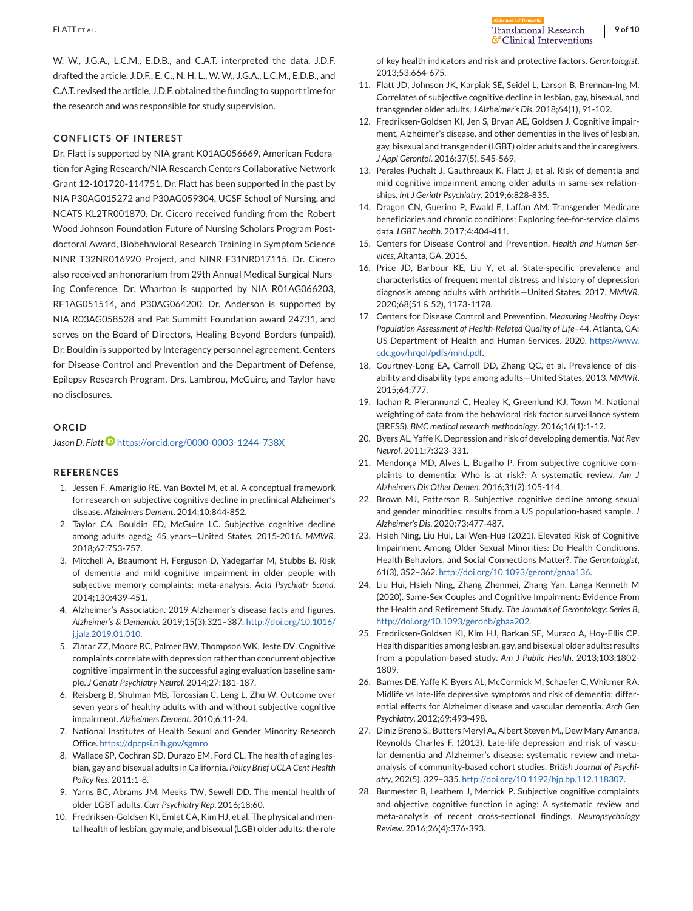<span id="page-8-0"></span>**FLATT** ET AL. **9 of 10**<br> **FLATT** ET AL. **9 of 10**<br> **PLATT** ET AL. **9 of 10** 

W. W., J.G.A., L.C.M., E.D.B., and C.A.T. interpreted the data. J.D.F. drafted the article. J.D.F., E. C., N. H. L., W. W., J.G.A., L.C.M., E.D.B., and C.A.T. revised the article. J.D.F. obtained the funding to support time for the research and was responsible for study supervision.

## **CONFLICTS OF INTEREST**

Dr. Flatt is supported by NIA grant K01AG056669, American Federation for Aging Research/NIA Research Centers Collaborative Network Grant 12-101720-114751. Dr. Flatt has been supported in the past by NIA P30AG015272 and P30AG059304, UCSF School of Nursing, and NCATS KL2TR001870. Dr. Cicero received funding from the Robert Wood Johnson Foundation Future of Nursing Scholars Program Postdoctoral Award, Biobehavioral Research Training in Symptom Science NINR T32NR016920 Project, and NINR F31NR017115. Dr. Cicero also received an honorarium from 29th Annual Medical Surgical Nursing Conference. Dr. Wharton is supported by NIA R01AG066203, RF1AG051514, and P30AG064200. Dr. Anderson is supported by NIA R03AG058528 and Pat Summitt Foundation award 24731, and serves on the Board of Directors, Healing Beyond Borders (unpaid). Dr. Bouldin is supported by Interagency personnel agreement, Centers for Disease Control and Prevention and the Department of Defense, Epilepsy Research Program. Drs. Lambrou, McGuire, and Taylor have no disclosures.

#### **ORCID**

*Jason D. Flat[t](https://orcid.org/0000-0003-1244-738X)* <https://orcid.org/0000-0003-1244-738X>

#### **REFERENCES**

- 1. Jessen F, Amariglio RE, Van Boxtel M, et al. A conceptual framework for research on subjective cognitive decline in preclinical Alzheimer's disease. *Alzheimers Dement*. 2014;10:844-852.
- 2. Taylor CA, Bouldin ED, McGuire LC. Subjective cognitive decline among adults aged≥ 45 years—United States, 2015-2016. *MMWR*. 2018;67:753-757.
- 3. Mitchell A, Beaumont H, Ferguson D, Yadegarfar M, Stubbs B. Risk of dementia and mild cognitive impairment in older people with subjective memory complaints: meta-analysis. *Acta Psychiatr Scand*. 2014;130:439-451.
- 4. Alzheimer's Association. 2019 Alzheimer's disease facts and figures. *Alzheimer's & Dementia*. 2019;15(3):321–387. [http://doi.org/10.1016/](http://doi.org/10.1016/j.jalz.2019.01.010) [j.jalz.2019.01.010.](http://doi.org/10.1016/j.jalz.2019.01.010)
- 5. Zlatar ZZ, Moore RC, Palmer BW, Thompson WK, Jeste DV. Cognitive complaints correlate with depression rather than concurrent objective cognitive impairment in the successful aging evaluation baseline sample. *J Geriatr Psychiatry Neurol*. 2014;27:181-187.
- 6. Reisberg B, Shulman MB, Torossian C, Leng L, Zhu W. Outcome over seven years of healthy adults with and without subjective cognitive impairment. *Alzheimers Dement*. 2010;6:11-24.
- 7. National Institutes of Health Sexual and Gender Minority Research Office. <https://dpcpsi.nih.gov/sgmro>
- 8. Wallace SP, Cochran SD, Durazo EM, Ford CL. The health of aging lesbian, gay and bisexual adults in California. *Policy Brief UCLA Cent Health Policy Res*. 2011:1-8.
- 9. Yarns BC, Abrams JM, Meeks TW, Sewell DD. The mental health of older LGBT adults. *Curr Psychiatry Rep*. 2016;18:60.
- 10. Fredriksen-Goldsen KI, Emlet CA, Kim HJ, et al. The physical and mental health of lesbian, gay male, and bisexual (LGB) older adults: the role

of key health indicators and risk and protective factors. *Gerontologist*. 2013;53:664-675.

- 11. Flatt JD, Johnson JK, Karpiak SE, Seidel L, Larson B, Brennan-Ing M. Correlates of subjective cognitive decline in lesbian, gay, bisexual, and transgender older adults. *J Alzheimer's Dis*. 2018;64(1), 91-102.
- 12. Fredriksen-Goldsen KI, Jen S, Bryan AE, Goldsen J. Cognitive impairment, Alzheimer's disease, and other dementias in the lives of lesbian, gay, bisexual and transgender (LGBT) older adults and their caregivers. *J Appl Gerontol*. 2016:37(5), 545-569.
- 13. Perales-Puchalt J, Gauthreaux K, Flatt J, et al. Risk of dementia and mild cognitive impairment among older adults in same-sex relationships. *Int J Geriatr Psychiatry*. 2019;6:828-835.
- 14. Dragon CN, Guerino P, Ewald E, Laffan AM. Transgender Medicare beneficiaries and chronic conditions: Exploring fee-for-service claims data. *LGBT health*. 2017;4:404-411.
- 15. Centers for Disease Control and Prevention. *Health and Human Services*, Altanta, GA. 2016.
- 16. Price JD, Barbour KE, Liu Y, et al. State-specific prevalence and characteristics of frequent mental distress and history of depression diagnosis among adults with arthritis—United States, 2017. *MMWR*. 2020;68(51 & 52), 1173-1178.
- 17. Centers for Disease Control and Prevention. *Measuring Healthy Days: Population Assessment of Health-Related Quality of Life*–44. Atlanta, GA: US Department of Health and Human Services. 2020. [https://www.](https://www.cdc.gov/hrqol/pdfs/mhd.pdf) cdc.gov/hrgol/pdfs/mhd.pdf.
- 18. Courtney-Long EA, Carroll DD, Zhang QC, et al. Prevalence of disability and disability type among adults—United States, 2013. *MMWR*. 2015;64:777.
- 19. Iachan R, Pierannunzi C, Healey K, Greenlund KJ, Town M. National weighting of data from the behavioral risk factor surveillance system (BRFSS). *BMC medical research methodology*. 2016;16(1):1-12.
- 20. Byers AL, Yaffe K. Depression and risk of developing dementia.*Nat Rev Neurol*. 2011;7:323-331.
- 21. Mendonça MD, Alves L, Bugalho P. From subjective cognitive complaints to dementia: Who is at risk?: A systematic review. *Am J Alzheimers Dis Other Demen*. 2016;31(2):105-114.
- 22. Brown MJ, Patterson R. Subjective cognitive decline among sexual and gender minorities: results from a US population-based sample. *J Alzheimer's Dis*. 2020;73:477-487.
- 23. Hsieh Ning, Liu Hui, Lai Wen-Hua (2021). Elevated Risk of Cognitive Impairment Among Older Sexual Minorities: Do Health Conditions, Health Behaviors, and Social Connections Matter?. *The Gerontologist*, 61(3), 352–362. [http://doi.org/10.1093/geront/gnaa136.](http://doi.org/10.1093/geront/gnaa136)
- 24. Liu Hui, Hsieh Ning, Zhang Zhenmei, Zhang Yan, Langa Kenneth M (2020). Same-Sex Couples and Cognitive Impairment: Evidence From the Health and Retirement Study. *The Journals of Gerontology: Series B*, [http://doi.org/10.1093/geronb/gbaa202.](http://doi.org/10.1093/geronb/gbaa202)
- 25. Fredriksen-Goldsen KI, Kim HJ, Barkan SE, Muraco A, Hoy-Ellis CP. Health disparities among lesbian, gay, and bisexual older adults: results from a population-based study. *Am J Public Health*. 2013;103:1802- 1809.
- 26. Barnes DE, Yaffe K, Byers AL, McCormick M, Schaefer C, Whitmer RA. Midlife vs late-life depressive symptoms and risk of dementia: differential effects for Alzheimer disease and vascular dementia. *Arch Gen Psychiatry*. 2012;69:493-498.
- 27. Diniz Breno S., Butters Meryl A., Albert Steven M., Dew Mary Amanda, Reynolds Charles F. (2013). Late-life depression and risk of vascular dementia and Alzheimer's disease: systematic review and metaanalysis of community-based cohort studies. *British Journal of Psychiatry*, 202(5), 329–335. [http://doi.org/10.1192/bjp.bp.112.118307.](http://doi.org/10.1192/bjp.bp.112.118307)
- 28. Burmester B, Leathem J, Merrick P. Subjective cognitive complaints and objective cognitive function in aging: A systematic review and meta-analysis of recent cross-sectional findings. *Neuropsychology Review*. 2016;26(4):376-393.